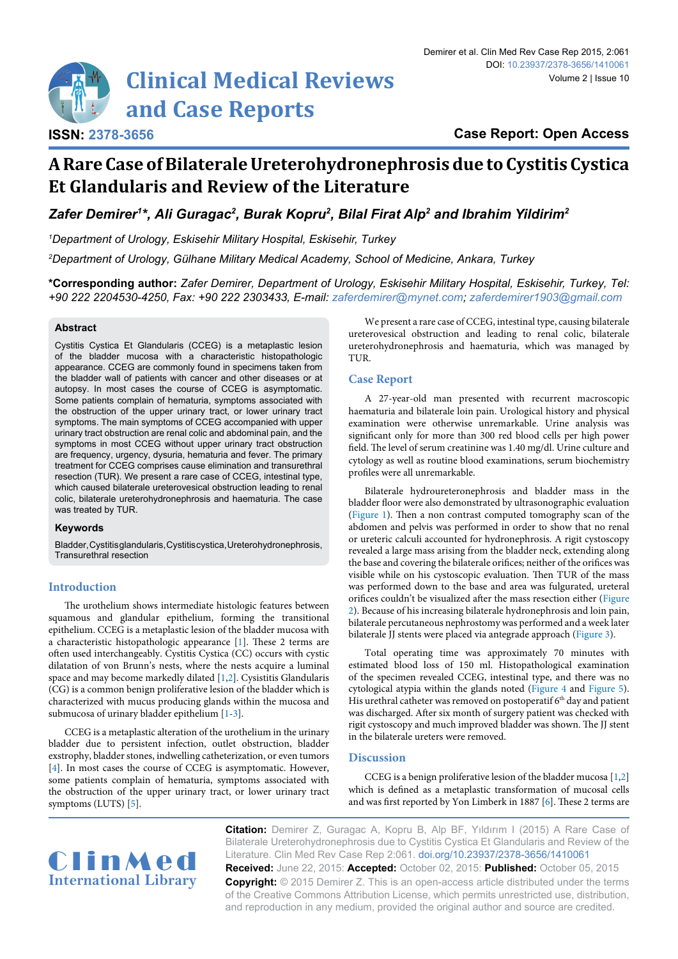# **Clinical Medical Reviews and Case Reports**

**ISSN: 2378-3656**

# **A Rare Case of Bilaterale Ureterohydronephrosis due to Cystitis Cystica Et Glandularis and Review of the Literature**

Zafer Demirer<sup>1\*</sup>, Ali Guragac<sup>2</sup>, Burak Kopru<sup>2</sup>, Bilal Firat Alp<sup>2</sup> and Ibrahim Yildirim<sup>2</sup>

*1 Department of Urology, Eskisehir Military Hospital, Eskisehir, Turkey*

*2 Department of Urology, Gülhane Military Medical Academy, School of Medicine, Ankara, Turkey*

**\*Corresponding author:** *Zafer Demirer, Department of Urology, Eskisehir Military Hospital, Eskisehir, Turkey, Tel: +90 222 2204530-4250, Fax: +90 222 2303433, E-mail: zaferdemirer@mynet.com; zaferdemirer1903@gmail.com*

## **Abstract**

Cystitis Cystica Et Glandularis (CCEG) is a metaplastic lesion of the bladder mucosa with a characteristic histopathologic appearance. CCEG are commonly found in specimens taken from the bladder wall of patients with cancer and other diseases or at autopsy. In most cases the course of CCEG is asymptomatic. Some patients complain of hematuria, symptoms associated with the obstruction of the upper urinary tract, or lower urinary tract symptoms. The main symptoms of CCEG accompanied with upper urinary tract obstruction are renal colic and abdominal pain, and the symptoms in most CCEG without upper urinary tract obstruction are frequency, urgency, dysuria, hematuria and fever. The primary treatment for CCEG comprises cause elimination and transurethral resection (TUR). We present a rare case of CCEG, intestinal type, which caused bilaterale ureterovesical obstruction leading to renal colic, bilaterale ureterohydronephrosis and haematuria. The case was treated by TUR.

# **Keywords**

Bladder, Cystitis glandularis, Cystitis cystica, Ureterohydronephrosis, Transurethral resection

# **Introduction**

The urothelium shows intermediate histologic features between squamous and glandular epithelium, forming the transitional epithelium. CCEG is a metaplastic lesion of the bladder mucosa with a characteristic histopathologic appearance [[1](#page-2-2)]. These 2 terms are often used interchangeably. Cystitis Cystica (CC) occurs with cystic dilatation of von Brunn's nests, where the nests acquire a luminal space and may become markedly dilated [[1](#page-2-2)[,2\]](#page-2-3). Cysistitis Glandularis (CG) is a common benign proliferative lesion of the bladder which is characterized with mucus producing glands within the mucosa and submucosa of urinary bladder epithelium [\[1](#page-2-2)-[3\]](#page-2-5).

CCEG is a metaplastic alteration of the urothelium in the urinary bladder due to persistent infection, outlet obstruction, bladder exstrophy, bladder stones, indwelling catheterization, or even tumors [[4\]](#page-2-6). In most cases the course of CCEG is asymptomatic. However, some patients complain of hematuria, symptoms associated with the obstruction of the upper urinary tract, or lower urinary tract symptoms (LUTS) [[5](#page-2-7)].

We present a rare case of CCEG, intestinal type, causing bilaterale ureterovesical obstruction and leading to renal colic, bilaterale ureterohydronephrosis and haematuria, which was managed by TUR.

# **Case Report**

A 27-year-old man presented with recurrent macroscopic haematuria and bilaterale loin pain. Urological history and physical examination were otherwise unremarkable. Urine analysis was significant only for more than 300 red blood cells per high power field. The level of serum creatinine was 1.40 mg/dl. Urine culture and cytology as well as routine blood examinations, serum biochemistry profiles were all unremarkable.

Bilaterale hydroureteronephrosis and bladder mass in the bladder floor were also demonstrated by ultrasonographic evaluation [\(Figure 1\)](#page-1-0). Then a non contrast computed tomography scan of the abdomen and pelvis was performed in order to show that no renal or ureteric calculi accounted for hydronephrosis. A rigit cystoscopy revealed a large mass arising from the bladder neck, extending along the base and covering the bilaterale orifices; neither of the orifices was visible while on his cystoscopic evaluation. Then TUR of the mass was performed down to the base and area was fulgurated, ureteral orifices couldn't be visualized after the mass resection either [\(Figure](#page-1-1)  [2](#page-1-1)). Because of his increasing bilaterale hydronephrosis and loin pain, bilaterale percutaneous nephrostomy was performed and a week later bilaterale JJ stents were placed via antegrade approach ([Figure 3\)](#page-1-2).

Total operating time was approximately 70 minutes with estimated blood loss of 150 ml. Histopathological examination of the specimen revealed CCEG, intestinal type, and there was no cytological atypia within the glands noted ([Figure 4](#page-2-0) and [Figure 5\)](#page-2-1). His urethral catheter was removed on postoperatif  $6<sup>th</sup>$  day and patient was discharged. After six month of surgery patient was checked with rigit cystoscopy and much improved bladder was shown. The JJ stent in the bilaterale ureters were removed.

# **Discussion**

CCEG is a benign proliferative lesion of the bladder mucosa [[1](#page-2-2)[,2\]](#page-2-3) which is defined as a metaplastic transformation of mucosal cells and was first reported by Yon Limberk in 1887 [[6](#page-2-4)]. These 2 terms are



**Citation:** Demirer Z, Guragac A, Kopru B, Alp BF, Yıldırım I (2015) A Rare Case of Bilaterale Ureterohydronephrosis due to Cystitis Cystica Et Glandularis and Review of the Literature. Clin Med Rev Case Rep 2:061. [doi.org/10.23937/2378-3656/1410061](https://doi.org/10.23937/2378-3656/1410061) **Received:** June 22, 2015: **Accepted:** October 02, 2015: **Published:** October 05, 2015 **Copyright:** © 2015 Demirer Z. This is an open-access article distributed under the terms of the Creative Commons Attribution License, which permits unrestricted use, distribution,

and reproduction in any medium, provided the original author and source are credited.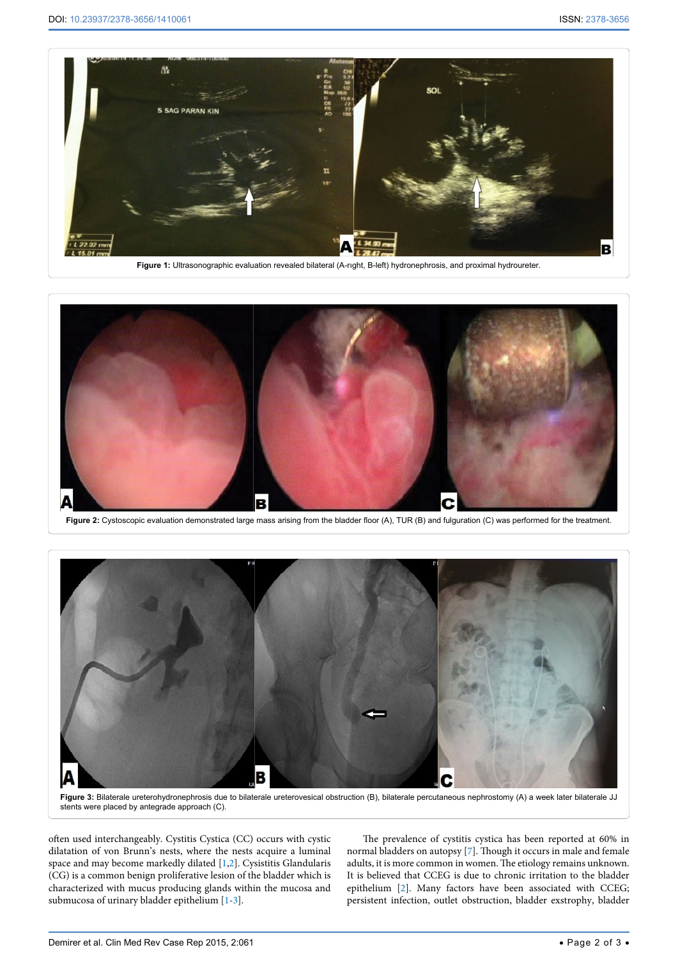<span id="page-1-0"></span>

Ĩ Е

<span id="page-1-1"></span>Figure 2: Cystoscopic evaluation demonstrated large mass arising from the bladder floor (A), TUR (B) and fulguration (C) was performed for the treatment.

<span id="page-1-2"></span>

**Figure 3:** Bilaterale ureterohydronephrosis due to bilaterale ureterovesical obstruction (B), bilaterale percutaneous nephrostomy (A) a week later bilaterale JJ stents were placed by antegrade approach (C).

often used interchangeably. Cystitis Cystica (CC) occurs with cystic dilatation of von Brunn's nests, where the nests acquire a luminal space and may become markedly dilated [[1](#page-2-2)[,2\]](#page-2-3). Cysistitis Glandularis (CG) is a common benign proliferative lesion of the bladder which is characterized with mucus producing glands within the mucosa and submucosa of urinary bladder epithelium [\[1](#page-2-2)-[3\]](#page-2-5).

The prevalence of cystitis cystica has been reported at 60% in normal bladders on autopsy [[7\]](#page-2-8). Though it occurs in male and female adults, it is more common in women. The etiology remains unknown. It is believed that CCEG is due to chronic irritation to the bladder epithelium [[2](#page-2-3)]. Many factors have been associated with CCEG; persistent infection, outlet obstruction, bladder exstrophy, bladder